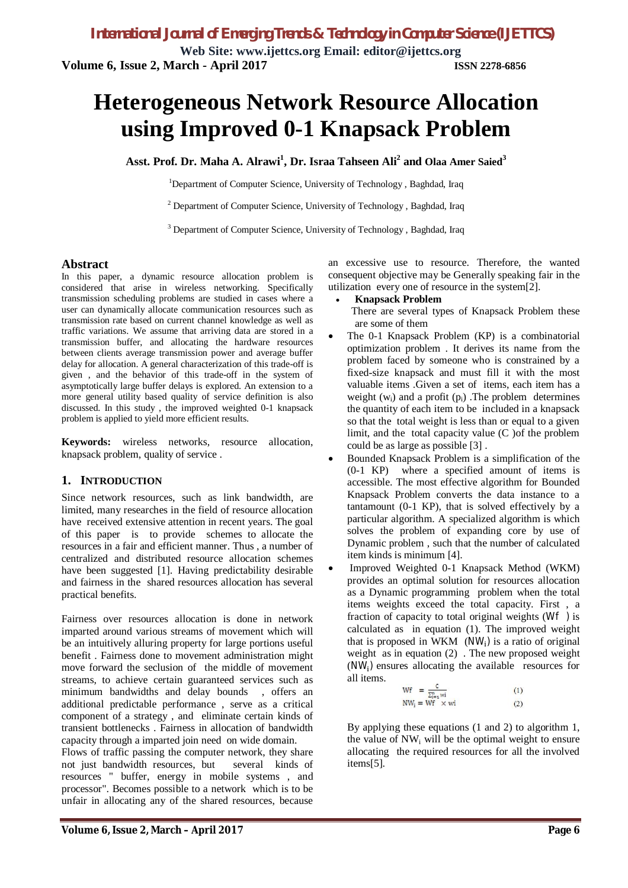**Web Site: [www.ijettcs.org](http://www.ijettcs.org) Email: [editor@ijettcs.org](mailto:editor@ijettcs.org) Volume 6, Issue 2, March - April 2017 ISSN 2278-6856**

# **Heterogeneous Network Resource Allocation using Improved 0-1 Knapsack Problem**

**Asst. Prof. Dr. Maha A. Alrawi<sup>1</sup> , Dr. Israa Tahseen Ali<sup>2</sup> and Olaa Amer Saied<sup>3</sup>**

<sup>1</sup>Department of Computer Science, University of Technology, Baghdad, Iraq

 $2$  Department of Computer Science, University of Technology, Baghdad, Iraq

<sup>3</sup> Department of Computer Science, University of Technology, Baghdad, Iraq

#### **Abstract**

In this paper, a dynamic resource allocation problem is considered that arise in wireless networking. Specifically transmission scheduling problems are studied in cases where a user can dynamically allocate communication resources such as transmission rate based on current channel knowledge as well as traffic variations. We assume that arriving data are stored in a transmission buffer, and allocating the hardware resources between clients average transmission power and average buffer delay for allocation. A general characterization of this trade-off is given , and the behavior of this trade-off in the system of asymptotically large buffer delays is explored. An extension to a more general utility based quality of service definition is also discussed. In this study , the improved weighted 0-1 knapsack problem is applied to yield more efficient results.

**Keywords:** wireless networks, resource allocation, knapsack problem, quality of service .

#### **1. INTRODUCTION**

Since network resources, such as link bandwidth, are limited, many researches in the field of resource allocation have received extensive attention in recent years. The goal of this paper is to provide schemes to allocate the resources in a fair and efficient manner. Thus , a number of centralized and distributed resource allocation schemes have been suggested [1]. Having predictability desirable and fairness in the shared resources allocation has several practical benefits.

Fairness over resources allocation is done in network imparted around various streams of movement which will be an intuitively alluring property for large portions useful benefit . Fairness done to movement administration might move forward the seclusion of the middle of movement streams, to achieve certain guaranteed services such as minimum bandwidths and delay bounds , offers an additional predictable performance , serve as a critical component of a strategy , and eliminate certain kinds of transient bottlenecks . Fairness in allocation of bandwidth capacity through a imparted join need on wide domain.

Flows of traffic passing the computer network, they share not just bandwidth resources, but several kinds of resources " buffer, energy in mobile systems , and processor". Becomes possible to a network which is to be unfair in allocating any of the shared resources, because

an excessive use to resource. Therefore, the wanted consequent objective may be Generally speaking fair in the utilization every one of resource in the system[2].

#### **Knapsack Problem**

 There are several types of Knapsack Problem these are some of them

- The 0-1 Knapsack Problem (KP) is a combinatorial optimization problem . It derives its name from the problem faced by someone who is constrained by a fixed-size knapsack and must fill it with the most valuable items .Given a set of items, each item has a weight  $(w_i)$  and a profit  $(p_i)$ . The problem determines the quantity of each item to be included in a knapsack so that the total weight is less than or equal to a given limit, and the total capacity value (C )of the problem could be as large as possible [3] .
- Bounded Knapsack Problem is a simplification of the (0-1 KP) where a specified amount of items is accessible. The most effective algorithm for Bounded Knapsack Problem converts the data instance to a tantamount (0-1 KP), that is solved effectively by a particular algorithm. A specialized algorithm is which solves the problem of expanding core by use of Dynamic problem , such that the number of calculated item kinds is minimum [4].
- Improved Weighted 0-1 Knapsack Method (WKM) provides an optimal solution for resources allocation as a Dynamic programming problem when the total items weights exceed the total capacity. First , a fraction of capacity to total original weights (Wf ) is calculated as in equation (1). The improved weight that is proposed in WKM  $(NW_i)$  is a ratio of original weight as in equation (2) . The new proposed weight  $(NW_i)$  ensures allocating the available resources for all items.

$$
Wf = \frac{c}{\sum_{i=1}^{n} wi}
$$
 (1)  
\n
$$
NW_i = WF \times wi
$$
 (2)

By applying these equations (1 and 2) to algorithm 1, the value of  $NW_i$  will be the optimal weight to ensure allocating the required resources for all the involved items[5].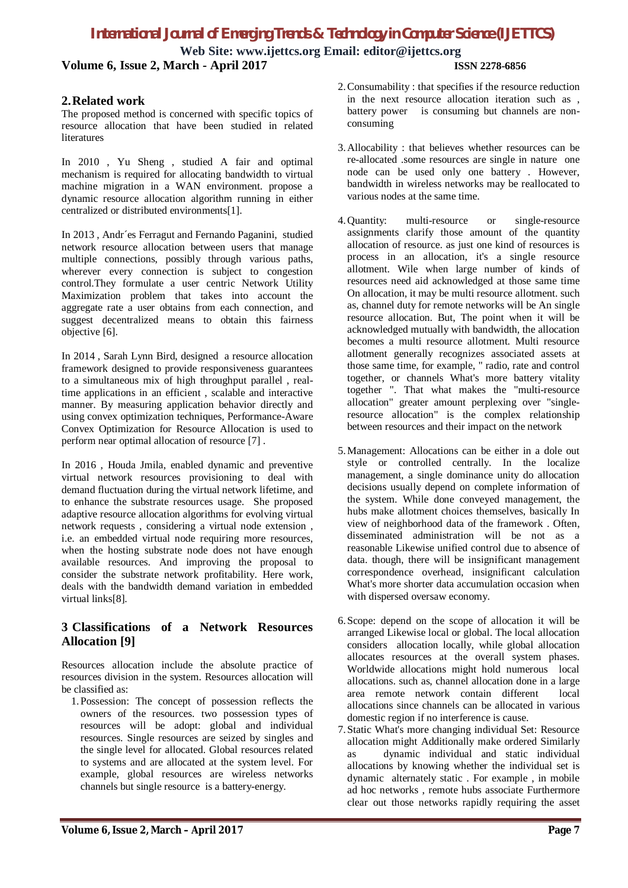# *International Journal of Emerging Trends & Technology in Computer Science (IJETTCS)*

**Web Site: [www.ijettcs.org](http://www.ijettcs.org) Email: [editor@ijettcs.org](mailto:editor@ijettcs.org) Volume 6, Issue 2, March - April 2017 ISSN 2278-6856**

## **2.Related work**

The proposed method is concerned with specific topics of resource allocation that have been studied in related **literatures** 

In 2010 , Yu Sheng , studied A fair and optimal mechanism is required for allocating bandwidth to virtual machine migration in a WAN environment. propose a dynamic resource allocation algorithm running in either centralized or distributed environments[1].

In 2013 , Andr´es Ferragut and Fernando Paganini, studied network resource allocation between users that manage multiple connections, possibly through various paths, wherever every connection is subject to congestion control.They formulate a user centric Network Utility Maximization problem that takes into account the aggregate rate a user obtains from each connection, and suggest decentralized means to obtain this fairness objective [6].

In 2014 , Sarah Lynn Bird, designed a resource allocation framework designed to provide responsiveness guarantees to a simultaneous mix of high throughput parallel , realtime applications in an efficient , scalable and interactive manner. By measuring application behavior directly and using convex optimization techniques, Performance-Aware Convex Optimization for Resource Allocation is used to perform near optimal allocation of resource [7] .

In 2016 , Houda Jmila, enabled dynamic and preventive virtual network resources provisioning to deal with demand fluctuation during the virtual network lifetime, and to enhance the substrate resources usage. She proposed adaptive resource allocation algorithms for evolving virtual network requests , considering a virtual node extension , i.e. an embedded virtual node requiring more resources, when the hosting substrate node does not have enough available resources. And improving the proposal to consider the substrate network profitability. Here work, deals with the bandwidth demand variation in embedded virtual links[8].

# **3 Classifications of a Network Resources Allocation [9]**

Resources allocation include the absolute practice of resources division in the system. Resources allocation will be classified as:

1.Possession: The concept of possession reflects the owners of the resources. two possession types of resources will be adopt: global and individual resources. Single resources are seized by singles and the single level for allocated. Global resources related to systems and are allocated at the system level. For example, global resources are wireless networks channels but single resource is a battery-energy.

- 2.Consumability : that specifies if the resource reduction in the next resource allocation iteration such as , battery power is consuming but channels are nonconsuming
- 3.Allocability : that believes whether resources can be re-allocated .some resources are single in nature one node can be used only one battery . However, bandwidth in wireless networks may be reallocated to various nodes at the same time.
- 4.Quantity: multi-resource or single-resource assignments clarify those amount of the quantity allocation of resource. as just one kind of resources is process in an allocation, it's a single resource allotment. Wile when large number of kinds of resources need aid acknowledged at those same time On allocation, it may be multi resource allotment. such as, channel duty for remote networks will be An single resource allocation. But, The point when it will be acknowledged mutually with bandwidth, the allocation becomes a multi resource allotment. Multi resource allotment generally recognizes associated assets at those same time, for example, " radio, rate and control together, or channels What's more battery vitality together ". That what makes the "multi-resource allocation" greater amount perplexing over "singleresource allocation" is the complex relationship between resources and their impact on the network
- 5.Management: Allocations can be either in a dole out style or controlled centrally. In the localize management, a single dominance unity do allocation decisions usually depend on complete information of the system. While done conveyed management, the hubs make allotment choices themselves, basically In view of neighborhood data of the framework . Often, disseminated administration will be not as a reasonable Likewise unified control due to absence of data. though, there will be insignificant management correspondence overhead, insignificant calculation What's more shorter data accumulation occasion when with dispersed oversaw economy.
- 6.Scope: depend on the scope of allocation it will be arranged Likewise local or global. The local allocation considers allocation locally, while global allocation allocates resources at the overall system phases. Worldwide allocations might hold numerous local allocations. such as, channel allocation done in a large area remote network contain different local allocations since channels can be allocated in various domestic region if no interference is cause.
- 7.Static What's more changing individual Set: Resource allocation might Additionally make ordered Similarly as dynamic individual and static individual allocations by knowing whether the individual set is dynamic alternately static . For example , in mobile ad hoc networks , remote hubs associate Furthermore clear out those networks rapidly requiring the asset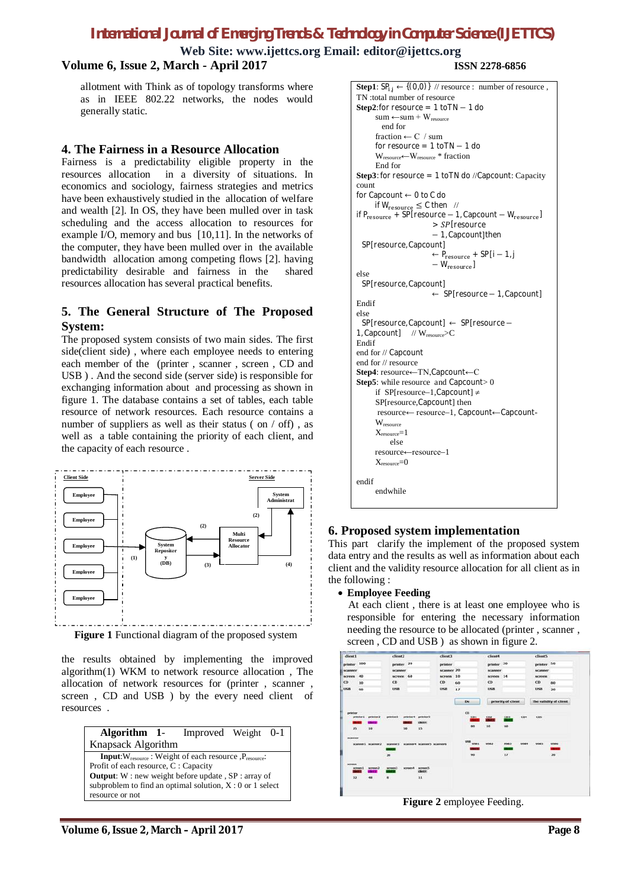# *International Journal of Emerging Trends & Technology in Computer Science (IJETTCS)*

**Web Site: [www.ijettcs.org](http://www.ijettcs.org) Email: [editor@ijettcs.org](mailto:editor@ijettcs.org)**

# **Volume 6, Issue 2, March - April 2017 ISSN 2278-6856**

allotment with Think as of topology transforms where as in IEEE 802.22 networks, the nodes would generally static.

#### **4. The Fairness in a Resource Allocation**

Fairness is a predictability eligible property in the resources allocation in a diversity of situations. In economics and sociology, fairness strategies and metrics have been exhaustively studied in the allocation of welfare and wealth [2]. In OS, they have been mulled over in task scheduling and the access allocation to resources for example I/O, memory and bus [10,11]. In the networks of the computer, they have been mulled over in the available bandwidth allocation among competing flows [2]. having predictability desirable and fairness in the shared resources allocation has several practical benefits.

### **5. The General Structure of The Proposed System:**

The proposed system consists of two main sides. The first side(client side) , where each employee needs to entering each member of the (printer , scanner , screen , CD and USB ) . And the second side (server side) is responsible for exchanging information about and processing as shown in figure 1. The database contains a set of tables, each table resource of network resources. Each resource contains a number of suppliers as well as their status (on / off), as well as a table containing the priority of each client, and the capacity of each resource .



**Figure 1** Functional diagram of the proposed system

the results obtained by implementing the improved algorithm(1) WKM to network resource allocation , The allocation of network resources for (printer , scanner , screen , CD and USB ) by the every need client of resources .



```
Step1: SP_{i,j} \leftarrow \{(0,0)\} // resource : number of resource,
TN :total number of resource
Step2:for resource = 1 to TN -1 do
      sum \leftarrow sum + W_{resource} end for
      fraction \leftarrow C / sum
      for resource = 1 to TN - 1 do
      Wresource←Wresource * fraction
      End for
Step3: for resource = 1 toTN do //Capcount: Capacity 
count
for Capcount ← 0 to C do
      if W_{\text{resource}} \leq C then //
if P_{resource} + SP[resource – 1, Capcount – W<sub>resource</sub>]
                        \frac{1}{2} SP [resource
                        − 1, Capcount]then
 SP[resource, Capcount]
                        \leftarrow P_{resource} + {\sf SP}[i-1,j]- W_{\rm resource}]
else
 SP[resource, Capcount]
                        ← SP[resource − 1, Capcount]
Endif
else
 SP[resource, Capcount] ← SP[resource −
1, Capcount] // W<sub>resource</sub>>C
Endif
end for // Capcount
end for // resource
Step4: resource←TN,Capcount←C
Step5: while resource and Capcount > 0
     if SP[resource-1,Capcount] \neqSP[resource,Capcount] then
      resource← resource1, Capcount←Capcount-
      \mathbf{W}_{\text{resource}}X_{resource} = 1 else 
       resource←resource1
      X_{resource}=0
```
#### **6. Proposed system implementation**

This part clarify the implement of the proposed system data entry and the results as well as information about each client and the validity resource allocation for all client as in the following :

#### **Employee Feeding**

endwhile

endif

 At each client , there is at least one employee who is responsible for entering the necessary information needing the resource to be allocated (printer , scanner , screen, CD and USB ) as shown in figure 2.



**Figure 2** employee Feeding.